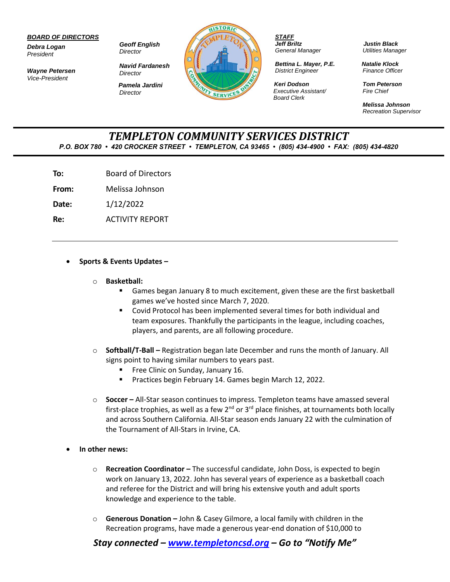## *BOARD OF DIRECTORS*

*Debra Logan President*

*Wayne Petersen Vice-President*

*Geoff English Director*

*Director*

*Navid Fardanesh Director Pamela Jardini*



*STAFF Jeff Briltz General Manager*

*Bettina L. Mayer, P.E. District Engineer*

*Keri Dodson Executive Assistant/ Board Clerk*

*Justin Black Utilities Manager*

*Natalie Klock Finance Officer*

*Tom Peterson Fire Chief*

*Melissa Johnson Recreation Supervisor*

## *TEMPLETON COMMUNITY SERVICES DISTRICT P.O. BOX 780 • 420 CROCKER STREET • TEMPLETON, CA 93465 • (805) 434-4900 • FAX: (805) 434-4820*

**To:** Board of Directors

**From:** Melissa Johnson

**Date:** 1/12/2022

**Re:** ACTIVITY REPORT

## • **Sports & Events Updates –**

- o **Basketball:**
	- Games began January 8 to much excitement, given these are the first basketball games we've hosted since March 7, 2020.
	- Covid Protocol has been implemented several times for both individual and team exposures. Thankfully the participants in the league, including coaches, players, and parents, are all following procedure.
- o **Softball/T-Ball –** Registration began late December and runs the month of January. All signs point to having similar numbers to years past.
	- Free Clinic on Sunday, January 16.
	- Practices begin February 14. Games begin March 12, 2022.
- o **Soccer –** All-Star season continues to impress. Templeton teams have amassed several first-place trophies, as well as a few  $2^{nd}$  or  $3^{rd}$  place finishes, at tournaments both locally and across Southern California. All-Star season ends January 22 with the culmination of the Tournament of All-Stars in Irvine, CA.
- **In other news:**
	- o **Recreation Coordinator –** The successful candidate, John Doss, is expected to begin work on January 13, 2022. John has several years of experience as a basketball coach and referee for the District and will bring his extensive youth and adult sports knowledge and experience to the table.
	- o **Generous Donation –** John & Casey Gilmore, a local family with children in the Recreation programs, have made a generous year-end donation of \$10,000 to

*Stay connected – [www.templetoncsd.org](http://www.templetoncsd.org/) – Go to "Notify Me"*